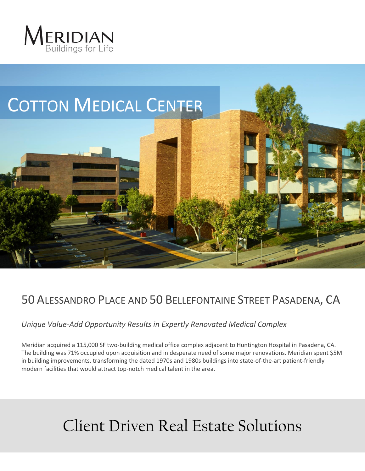



# 50 ALESSANDRO PLACE AND 50 BELLEFONTAINE STREET PASADENA, CA

## *Unique Value-Add Opportunity Results in Expertly Renovated Medical Complex*

Meridian acquired a 115,000 SF two-building medical office complex adjacent to Huntington Hospital in Pasadena, CA. The building was 71% occupied upon acquisition and in desperate need of some major renovations. Meridian spent \$5M in building improvements, transforming the dated 1970s and 1980s buildings into state-of-the-art patient-friendly modern facilities that would attract top-notch medical talent in the area.

# Client Driven Real Estate Solutions